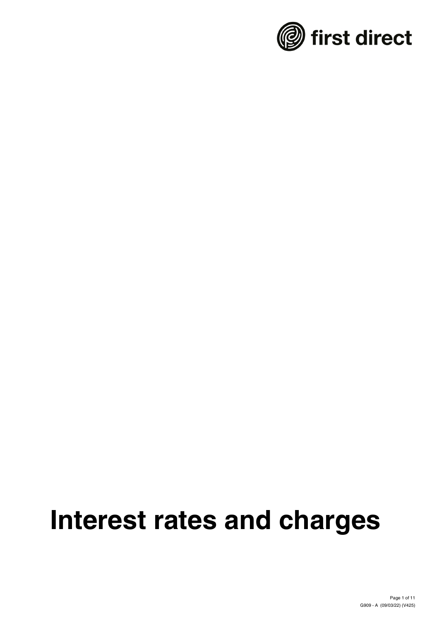

# **Interest rates and charges**

Page 1 of 11 G909 - A (09/03/22) (V425)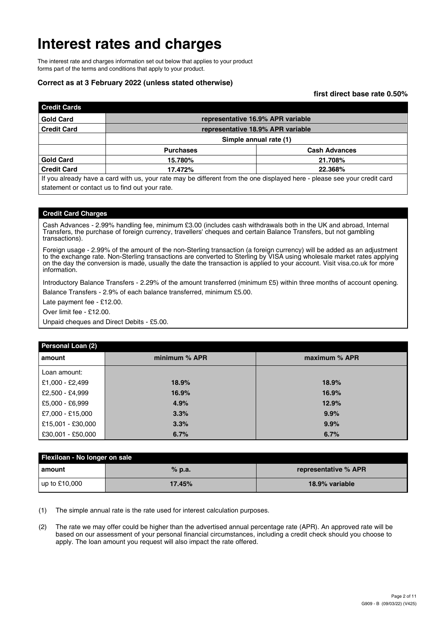### **Interest rates and charges**

The interest rate and charges information set out below that applies to your product forms part of the terms and conditions that apply to your product.

#### **Correct as at 3 February 2022 (unless stated otherwise)**

**first direct base rate 0.50%**

| <b>Credit Cards</b> |                                                                                                                          |                                   |  |  |  |  |  |
|---------------------|--------------------------------------------------------------------------------------------------------------------------|-----------------------------------|--|--|--|--|--|
| <b>Gold Card</b>    |                                                                                                                          | representative 16.9% APR variable |  |  |  |  |  |
| <b>Credit Card</b>  | representative 18.9% APR variable                                                                                        |                                   |  |  |  |  |  |
|                     | Simple annual rate (1)                                                                                                   |                                   |  |  |  |  |  |
|                     | <b>Purchases</b>                                                                                                         | <b>Cash Advances</b>              |  |  |  |  |  |
| <b>Gold Card</b>    | 15.780%                                                                                                                  | 21.708%                           |  |  |  |  |  |
| <b>Credit Card</b>  | 17.472%                                                                                                                  | 22.368%                           |  |  |  |  |  |
|                     | If you already have a card with us, your rate may be different from the one displayed here - please see your credit card |                                   |  |  |  |  |  |

statement or contact us to find out your rate.

#### **Credit Card Charges**

Cash Advances - 2.99% handling fee, minimum £3.00 (includes cash withdrawals both in the UK and abroad, Internal Transfers, the purchase of foreign currency, travellers' cheques and certain Balance Transfers, but not gambling transactions).

Foreign usage - 2.99% of the amount of the non-Sterling transaction (a foreign currency) will be added as an adjustment to the exchange rate. Non-Sterling transactions are converted to Sterling by VISA using wholesale market rates applying on the day the conversion is made, usually the date the transaction is applied to your account. Visit visa.co.uk for more information.

Introductory Balance Transfers - 2.29% of the amount transferred (minimum £5) within three months of account opening. Balance Transfers - 2.9% of each balance transferred, minimum £5.00.

Late payment fee - £12.00.

Over limit fee - £12.00.

Unpaid cheques and Direct Debits - £5.00.

| Personal Loan (2) |               |               |
|-------------------|---------------|---------------|
| l amount          | minimum % APR | maximum % APR |
| l Loan amount:    |               |               |
| £1,000 - £2,499   | 18.9%         | 18.9%         |
| £2,500 - £4,999   | 16.9%         | 16.9%         |
| E5,000 - £6,999   | 4.9%          | 12.9%         |
| £7,000 - £15,000  | 3.3%          | 9.9%          |
| £15,001 - £30,000 | 3.3%          | 9.9%          |
| E30,001 - £50,000 | 6.7%          | 6.7%          |

| Flexiloan - No longer on sale |          |                      |  |  |  |  |  |
|-------------------------------|----------|----------------------|--|--|--|--|--|
| l amount                      | $%$ p.a. | representative % APR |  |  |  |  |  |
| $\mu$ p to £10,000            | 17.45%   | 18.9% variable       |  |  |  |  |  |

(1) The simple annual rate is the rate used for interest calculation purposes.

(2) The rate we may offer could be higher than the advertised annual percentage rate (APR). An approved rate will be based on our assessment of your personal financial circumstances, including a credit check should you choose to apply. The loan amount you request will also impact the rate offered.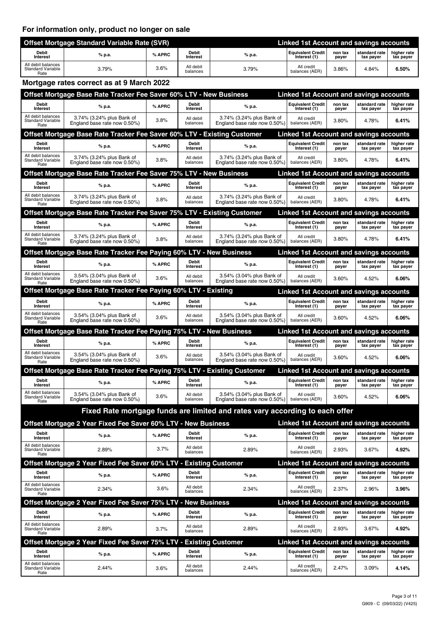#### **For information only, product no longer on sale**

|                                                        | <b>Offset Mortgage Standard Variable Rate (SVR)</b> | <b>Linked 1st Account and savings accounts</b> |                       |        |                                          |                  |                            |                          |
|--------------------------------------------------------|-----------------------------------------------------|------------------------------------------------|-----------------------|--------|------------------------------------------|------------------|----------------------------|--------------------------|
| <b>Debit</b><br>Interest                               | % p.a.                                              | % APRC                                         | Debit<br>Interest     | % p.a. | <b>Equivalent Credit</b><br>Interest (1) | non tax<br>payer | standard rate<br>tax payer | higher rate<br>tax payer |
| All debit balances<br><b>Standard Variable</b><br>Rate | 3.79%                                               | 3.6%                                           | All debit<br>balances | 3.79%  | All credit<br>balances (AER)             | 3.86%            | 4.84%                      | 6.50%                    |

#### **Mortgage rates correct as at 9 March 2022**

|                                                        | Offset Mortgage Base Rate Tracker Fee Saver 60% LTV - New Business       |        |                          |                                                                              | Linked 1st Account and savings accounts        |                  |                            |                          |
|--------------------------------------------------------|--------------------------------------------------------------------------|--------|--------------------------|------------------------------------------------------------------------------|------------------------------------------------|------------------|----------------------------|--------------------------|
| Debit<br>Interest                                      | % p.a.                                                                   | % APRC | Debit<br>Interest        | % p.a.                                                                       | <b>Equivalent Credit</b><br>Interest (1)       | non tax<br>payer | standard rate<br>tax payer | higher rate<br>tax payer |
| All debit balances<br>Standard Variable<br>Rate        | 3.74% (3.24% plus Bank of<br>England base rate now 0.50%)                | 3.8%   | All debit<br>balances    | 3.74% (3.24% plus Bank of<br>England base rate now 0.50%)                    | All credit<br>balances (AER)                   | 3.80%            | 4.78%                      | 6.41%                    |
|                                                        | Offset Mortgage Base Rate Tracker Fee Saver 60% LTV - Existing Customer  |        |                          |                                                                              | <b>Linked 1st Account and savings accounts</b> |                  |                            |                          |
| Debit<br><b>Interest</b>                               | % p.a.                                                                   | % APRC | Debit<br><b>Interest</b> | % p.a.                                                                       | <b>Equivalent Credit</b><br>Interest (1)       | non tax<br>payer | standard rate<br>tax payer | higher rate<br>tax payer |
| All debit balances<br><b>Standard Variable</b><br>Rate | 3.74% (3.24% plus Bank of<br>England base rate now 0.50%)                | 3.8%   | All debit<br>balances    | 3.74% (3.24% plus Bank of<br>England base rate now 0.50%)                    | All credit<br>balances (AER)                   | 3.80%            | 4.78%                      | 6.41%                    |
|                                                        | Offset Mortgage Base Rate Tracker Fee Saver 75% LTV - New Business       |        |                          |                                                                              | <b>Linked 1st Account and savings accounts</b> |                  |                            |                          |
| Debit<br>Interest                                      | % p.a.                                                                   | % APRC | Debit<br>Interest        | % p.a.                                                                       | <b>Equivalent Credit</b><br>Interest (1)       | non tax<br>payer | standard rate<br>tax payer | higher rate<br>tax payer |
| All debit balances<br>Standard Variable<br>Rate        | 3.74% (3.24% plus Bank of<br>England base rate now 0.50%)                | 3.8%   | All debit<br>balances    | 3.74% (3.24% plus Bank of<br>England base rate now 0.50%)                    | All credit<br>balances (AER)                   | 3.80%            | 4.78%                      | 6.41%                    |
|                                                        | Offset Mortgage Base Rate Tracker Fee Saver 75% LTV - Existing Customer  |        |                          |                                                                              | <b>Linked 1st Account and savings accounts</b> |                  |                            |                          |
| <b>Debit</b><br><b>Interest</b>                        | % p.a.                                                                   | % APRC | Debit<br><b>Interest</b> | % p.a.                                                                       | <b>Equivalent Credit</b><br>Interest (1)       | non tax<br>payer | standard rate<br>tax payer | higher rate<br>tax payer |
| All debit balances<br>Standard Variable<br>Rate        | 3.74% (3.24% plus Bank of<br>England base rate now 0.50%)                | 3.8%   | All debit<br>balances    | 3.74% (3.24% plus Bank of<br>England base rate now 0.50%)                    | All credit<br>balances (AER)                   | $3.80\%$         | 4.78%                      | 6.41%                    |
|                                                        | Offset Mortgage Base Rate Tracker Fee Paying 60% LTV - New Business      |        |                          |                                                                              | Linked 1st Account and savings accounts        |                  |                            |                          |
| Debit<br><b>Interest</b>                               | % p.a.                                                                   | % APRC | Debit<br><b>Interest</b> | % p.a.                                                                       | <b>Equivalent Credit</b><br>Interest (1)       | non tax<br>payer | standard rate<br>tax payer | higher rate<br>tax payer |
| All debit balances<br>Standard Variable<br>Rate        | 3.54% (3.04% plus Bank of<br>England base rate now 0.50%)                | 3.6%   | All debit<br>balances    | 3.54% (3.04% plus Bank of<br>England base rate now 0.50%)                    | All credit<br>balances (AER)                   | 3.60%            | 4.52%                      | 6.06%                    |
|                                                        | Offset Mortgage Base Rate Tracker Fee Paying 60% LTV - Existing          |        |                          |                                                                              | <b>Linked 1st Account and savings accounts</b> |                  |                            |                          |
| Debit<br><b>Interest</b>                               | % p.a.                                                                   | % APRC | Debit<br>Interest        | % p.a.                                                                       | <b>Equivalent Credit</b><br>Interest (1)       | non tax<br>payer | standard rate<br>tax payer | higher rate<br>tax payer |
| All debit balances<br><b>Standard Variable</b><br>Rate | 3.54% (3.04% plus Bank of<br>England base rate now 0.50%)                | 3.6%   | All debit<br>balances    | 3.54% (3.04% plus Bank of<br>England base rate now 0.50%)                    | All credit<br>balances (AER)                   | 3.60%            | 4.52%                      | 6.06%                    |
|                                                        | Offset Mortgage Base Rate Tracker Fee Paying 75% LTV - New Business      |        |                          |                                                                              | <b>Linked 1st Account and savings accounts</b> |                  |                            |                          |
| Debit<br>Interest                                      | % p.a.                                                                   | % APRC | Debit<br>Interest        | % p.a.                                                                       | <b>Equivalent Credit</b><br>Interest (1)       | non tax<br>payer | standard rate<br>tax payer | higher rate<br>tax payer |
| All debit balances<br><b>Standard Variable</b><br>Rate | 3.54% (3.04% plus Bank of<br>England base rate now 0.50%)                | 3.6%   | All debit<br>balances    | 3.54% (3.04% plus Bank of<br>England base rate now 0.50%)                    | All credit<br>balances (AER)                   | 3.60%            | 4.52%                      | 6.06%                    |
|                                                        | Offset Mortgage Base Rate Tracker Fee Paying 75% LTV - Existing Customer |        |                          |                                                                              | <b>Linked 1st Account and savings accounts</b> |                  |                            |                          |
| <b>Debit</b><br><b>Interest</b>                        | % p.a.                                                                   | % APRC | Debit<br>Interest        | % p.a.                                                                       | <b>Equivalent Credit</b><br>Interest (1)       | non tax<br>payer | standard rate<br>tax payer | higher rate<br>tax payer |
| All debit balances<br><b>Standard Variable</b><br>Rate | 3.54% (3.04% plus Bank of<br>England base rate now 0.50%)                | 3.6%   | All debit<br>balances    | 3.54% (3.04% plus Bank of<br>England base rate now 0.50%)                    | All credit<br>balances (AER)                   | $3.60\%$         | 4.52%                      | 6.06%                    |
|                                                        |                                                                          |        |                          | Fixed Rate mortgage funds are limited and rates vary according to each offer |                                                |                  |                            |                          |
|                                                        | Offset Mortgage 2 Year Fixed Fee Saver 60% LTV - New Business            |        |                          |                                                                              | <b>Linked 1st Account and savings accounts</b> |                  |                            |                          |
| Debit<br>Interest                                      | % p.a.                                                                   | % APRC | Debit<br>Interest        | % p.a.                                                                       | <b>Equivalent Credit</b><br>Interest (1)       | non tax<br>payer | standard rate<br>tax payer | higher rate<br>tax payer |
| All debit balances<br><b>Standard Variable</b><br>Rate | 2.89%                                                                    | 3.7%   | All debit<br>balances    | 2.89%                                                                        | All credit<br>balances (AER)                   | 2.93%            | 3.67%                      | 4.92%                    |
|                                                        | Offset Mortgage 2 Year Fixed Fee Saver 60% LTV - Existing Customer       |        |                          |                                                                              | <b>Linked 1st Account and savings accounts</b> |                  |                            |                          |
| <b>Debit</b><br>Interest                               | % p.a.                                                                   | % APRC | <b>Debit</b><br>Interest | % p.a.                                                                       | <b>Equivalent Credit</b><br>Interest (1)       | non tax<br>payer | standard rate<br>tax payer | higher rate<br>tax payer |
| All debit balances<br><b>Standard Variable</b>         | 2.34%                                                                    | 3.6%   | All debit<br>balances    | 2.34%                                                                        | All credit<br>balances (AER)                   | 2.37%            | 2.96%                      | 3.96%                    |
| Rate                                                   | Offset Mortgage 2 Year Fixed Fee Saver 75% LTV - New Business            |        |                          |                                                                              | <b>Linked 1st Account and savings accounts</b> |                  |                            |                          |
| Debit                                                  |                                                                          |        | Debit                    |                                                                              | <b>Equivalent Credit</b>                       | non tax          | standard rate              | higher rate              |
| Interest<br>All debit balances                         | % p.a.                                                                   | % APRC | Interest<br>All debit    | % p.a.                                                                       | Interest (1)<br>All credit                     | payer            | tax payer                  | tax payer                |
| <b>Standard Variable</b><br>Rate                       | 2.89%                                                                    | 3.7%   | balances                 | 2.89%                                                                        | balances (AER)                                 | 2.93%            | 3.67%                      | 4.92%                    |
|                                                        | Offset Mortgage 2 Year Fixed Fee Saver 75% LTV - Existing Customer       |        |                          |                                                                              | <b>Linked 1st Account and savings accounts</b> |                  |                            |                          |
| Debit<br>Interest                                      | % p.a.                                                                   | % APRC | <b>Debit</b><br>Interest | % p.a.                                                                       | <b>Equivalent Credit</b><br>Interest (1)       | non tax<br>payer | standard rate<br>tax payer | higher rate<br>tax payer |
| All debit balances<br><b>Standard Variable</b><br>Rate | 2.44%                                                                    | 3.6%   | All debit<br>balances    | 2.44%                                                                        | All credit<br>balances (AER)                   | 2.47%            | 3.09%                      | 4.14%                    |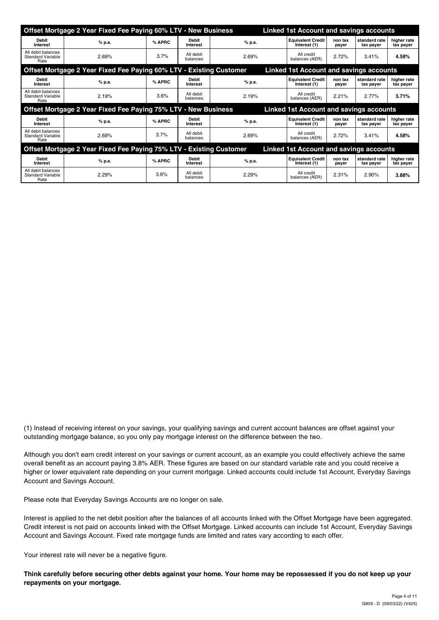|                                                        | Offset Mortgage 2 Year Fixed Fee Paying 60% LTV - New Business      |        |                                 |        | <b>Linked 1st Account and savings accounts</b> |                  |                            |                          |
|--------------------------------------------------------|---------------------------------------------------------------------|--------|---------------------------------|--------|------------------------------------------------|------------------|----------------------------|--------------------------|
| <b>Debit</b><br>Interest                               | % p.a.                                                              | % APRC | <b>Debit</b><br>Interest        | % p.a. | <b>Equivalent Credit</b><br>Interest (1)       | non tax<br>payer | standard rate<br>tax payer | higher rate<br>tax payer |
| All debit balances<br><b>Standard Variable</b><br>Rate | 2.69%                                                               | 3.7%   | All debit<br>balances           | 2.69%  | All credit<br>balances (AER)                   | 2.72%            | 3.41%                      | 4.58%                    |
|                                                        | Offset Mortgage 2 Year Fixed Fee Paying 60% LTV - Existing Customer |        |                                 |        | <b>Linked 1st Account and savings accounts</b> |                  |                            |                          |
| Debit<br>Interest                                      | % p.a.                                                              | % APRC | <b>Debit</b><br><b>Interest</b> | % p.a. | <b>Equivalent Credit</b><br>Interest (1)       | non tax<br>payer | standard rate<br>tax payer | higher rate<br>tax payer |
| All debit balances<br><b>Standard Variable</b><br>Rate | 2.19%                                                               | 3.6%   | All debit<br>balances           | 2.19%  | All credit<br>balances (AER)                   | 2.21%            | 2.77%                      | 3.71%                    |
|                                                        | Offset Mortgage 2 Year Fixed Fee Paying 75% LTV - New Business      |        |                                 |        | Linked 1st Account and savings accounts        |                  |                            |                          |
| <b>Debit</b><br>Interest                               | % p.a.                                                              | % APRC | <b>Debit</b><br>Interest        | % p.a. | <b>Equivalent Credit</b><br>Interest (1)       | non tax<br>payer | standard rate<br>tax payer | higher rate<br>tax payer |
| All debit balances<br>Standard Variable<br>Rate        | 2.69%                                                               | 3.7%   | All debit<br>balances           | 2.69%  | All credit<br>balances (AER)                   | 2.72%            | 3.41%                      | 4.58%                    |
|                                                        | Offset Mortgage 2 Year Fixed Fee Paying 75% LTV - Existing Customer |        |                                 |        | <b>Linked 1st Account and savings accounts</b> |                  |                            |                          |
| <b>Debit</b><br>Interest                               | % p.a.                                                              | % APRC | <b>Debit</b><br>Interest        | % p.a. | <b>Equivalent Credit</b><br>Interest (1)       | non tax<br>payer | standard rate<br>tax payer | higher rate<br>tax payer |
| All debit balances<br><b>Standard Variable</b><br>Rate | 2.29%                                                               | 3.6%   | All debit<br>balances           | 2.29%  | All credit<br>balances (AER)                   | 2.31%            | 2.90%                      | 3.88%                    |

(1) Instead of receiving interest on your savings, your qualifying savings and current account balances are offset against your outstanding mortgage balance, so you only pay mortgage interest on the difference between the two.

Although you don't earn credit interest on your savings or current account, as an example you could effectively achieve the same overall benefit as an account paying 3.8% AER. These figures are based on our standard variable rate and you could receive a higher or lower equivalent rate depending on your current mortgage. Linked accounts could include 1st Account, Everyday Savings Account and Savings Account.

Please note that Everyday Savings Accounts are no longer on sale.

Interest is applied to the net debit position after the balances of all accounts linked with the Offset Mortgage have been aggregated. Credit interest is not paid on accounts linked with the Offset Mortgage. Linked accounts can include 1st Account, Everyday Savings Account and Savings Account. Fixed rate mortgage funds are limited and rates vary according to each offer.

Your interest rate will never be a negative figure.

**Think carefully before securing other debts against your home. Your home may be repossessed if you do not keep up your repayments on your mortgage.**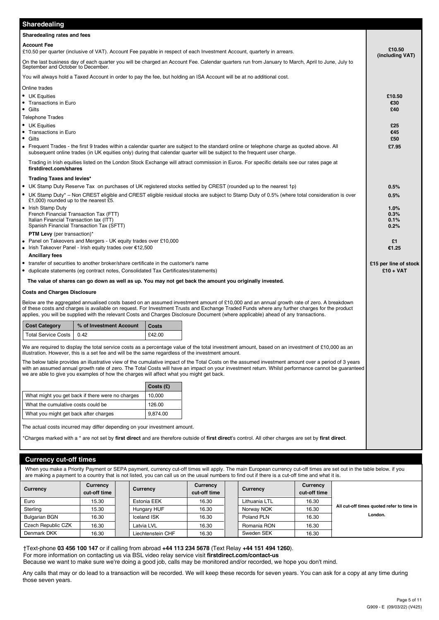| Sharedealing                                                                                                                                                                           |           |                                                                                                                                                                                                                                                                                                                                                                                                                                   |                                      |  |  |  |
|----------------------------------------------------------------------------------------------------------------------------------------------------------------------------------------|-----------|-----------------------------------------------------------------------------------------------------------------------------------------------------------------------------------------------------------------------------------------------------------------------------------------------------------------------------------------------------------------------------------------------------------------------------------|--------------------------------------|--|--|--|
| Sharedealing rates and fees                                                                                                                                                            |           |                                                                                                                                                                                                                                                                                                                                                                                                                                   |                                      |  |  |  |
| <b>Account Fee</b><br>£10.50 per quarter (inclusive of VAT). Account Fee payable in respect of each Investment Account, quarterly in arrears.                                          |           |                                                                                                                                                                                                                                                                                                                                                                                                                                   |                                      |  |  |  |
| On the last business day of each quarter you will be charged an Account Fee. Calendar quarters run from January to March, April to June, July to<br>September and October to December. |           |                                                                                                                                                                                                                                                                                                                                                                                                                                   |                                      |  |  |  |
| You will always hold a Taxed Account in order to pay the fee, but holding an ISA Account will be at no additional cost.                                                                |           |                                                                                                                                                                                                                                                                                                                                                                                                                                   |                                      |  |  |  |
| Online trades                                                                                                                                                                          |           |                                                                                                                                                                                                                                                                                                                                                                                                                                   |                                      |  |  |  |
| • UK Equities<br>• Transactions in Euro<br>• Gilts<br><b>Telephone Trades</b>                                                                                                          |           |                                                                                                                                                                                                                                                                                                                                                                                                                                   | £10.50<br>€30<br>£40                 |  |  |  |
| • UK Equities                                                                                                                                                                          |           |                                                                                                                                                                                                                                                                                                                                                                                                                                   | £25                                  |  |  |  |
| • Transactions in Euro                                                                                                                                                                 |           |                                                                                                                                                                                                                                                                                                                                                                                                                                   | €45                                  |  |  |  |
| • Gilts<br>subsequent online trades (in UK equities only) during that calendar quarter will be subject to the frequent user charge.                                                    |           | • Frequent Trades - the first 9 trades within a calendar quarter are subject to the standard online or telephone charge as quoted above. All                                                                                                                                                                                                                                                                                      | £50<br>£7.95                         |  |  |  |
| firstdirect.com/shares                                                                                                                                                                 |           | Trading in Irish equities listed on the London Stock Exchange will attract commission in Euros. For specific details see our rates page at                                                                                                                                                                                                                                                                                        |                                      |  |  |  |
| Trading Taxes and levies*                                                                                                                                                              |           |                                                                                                                                                                                                                                                                                                                                                                                                                                   |                                      |  |  |  |
| • UK Stamp Duty Reserve Tax on purchases of UK registered stocks settled by CREST (rounded up to the nearest 1p)                                                                       |           |                                                                                                                                                                                                                                                                                                                                                                                                                                   | 0.5%                                 |  |  |  |
| £1,000) rounded up to the nearest £5.                                                                                                                                                  |           | • UK Stamp Duty* – Non CREST eligible and CREST eligible residual stocks are subject to Stamp Duty of 0.5% (where total consideration is over                                                                                                                                                                                                                                                                                     | 0.5%                                 |  |  |  |
| • Irish Stamp Duty<br>French Financial Transaction Tax (FTT)<br>Italian Financial Transaction tax (ITT)<br>Spanish Financial Transaction Tax (SFTT)                                    |           |                                                                                                                                                                                                                                                                                                                                                                                                                                   |                                      |  |  |  |
| <b>PTM Levy</b> (per transaction)*                                                                                                                                                     |           |                                                                                                                                                                                                                                                                                                                                                                                                                                   |                                      |  |  |  |
| • Panel on Takeovers and Mergers - UK equity trades over £10,000<br>• Irish Takeover Panel - Irish equity trades over €12,500                                                          |           |                                                                                                                                                                                                                                                                                                                                                                                                                                   | £1<br>€1.25                          |  |  |  |
| <b>Ancillary fees</b><br>• transfer of securities to another broker/share certificate in the customer's name                                                                           |           |                                                                                                                                                                                                                                                                                                                                                                                                                                   |                                      |  |  |  |
| • duplicate statements (eg contract notes, Consolidated Tax Certificates/statements)                                                                                                   |           |                                                                                                                                                                                                                                                                                                                                                                                                                                   | £15 per line of stock<br>$£10 + VAT$ |  |  |  |
| The value of shares can go down as well as up. You may not get back the amount you originally invested.                                                                                |           |                                                                                                                                                                                                                                                                                                                                                                                                                                   |                                      |  |  |  |
| <b>Costs and Charges Disclosure</b>                                                                                                                                                    |           |                                                                                                                                                                                                                                                                                                                                                                                                                                   |                                      |  |  |  |
|                                                                                                                                                                                        |           | Below are the aggregated annualised costs based on an assumed investment amount of £10,000 and an annual growth rate of zero. A breakdown<br>of these costs and charges is available on request. For Investment Trusts and Exchange Traded Funds where any further charges for the product<br>applies, you will be supplied with the relevant Costs and Charges Disclosure Document (where applicable) ahead of any transactions. |                                      |  |  |  |
| % of Investment Account<br><b>Cost Category</b>                                                                                                                                        | Costs     |                                                                                                                                                                                                                                                                                                                                                                                                                                   |                                      |  |  |  |
| <b>Total Service Costs</b><br>0.42                                                                                                                                                     | £42.00    |                                                                                                                                                                                                                                                                                                                                                                                                                                   |                                      |  |  |  |
| illustration. However, this is a set fee and will be the same regardless of the investment amount.                                                                                     |           | We are required to display the total service costs as a percentage value of the total investment amount, based on an investment of £10,000 as an                                                                                                                                                                                                                                                                                  |                                      |  |  |  |
| we are able to give you examples of how the charges will affect what you might get back.                                                                                               |           | The below table provides an illustrative view of the cumulative impact of the Total Costs on the assumed investment amount over a period of 3 years<br>with an assumed annual growth rate of zero. The Total Costs will have an impact on your investment return. Whilst performance cannot be quaranteed                                                                                                                         |                                      |  |  |  |
|                                                                                                                                                                                        | Costs (£) |                                                                                                                                                                                                                                                                                                                                                                                                                                   |                                      |  |  |  |
| What might you get back if there were no charges                                                                                                                                       | 10,000    |                                                                                                                                                                                                                                                                                                                                                                                                                                   |                                      |  |  |  |
| What the cumulative costs could be                                                                                                                                                     | 126.00    |                                                                                                                                                                                                                                                                                                                                                                                                                                   |                                      |  |  |  |
| What you might get back after charges                                                                                                                                                  | 9,874.00  |                                                                                                                                                                                                                                                                                                                                                                                                                                   |                                      |  |  |  |
| The actual costs incurred may differ depending on your investment amount.                                                                                                              |           |                                                                                                                                                                                                                                                                                                                                                                                                                                   |                                      |  |  |  |
|                                                                                                                                                                                        |           | *Charges marked with a * are not set by first direct and are therefore outside of first direct's control. All other charges are set by first direct.                                                                                                                                                                                                                                                                              |                                      |  |  |  |

#### **Currency cut-off times**

When you make a Priority Payment or SEPA payment, currency cut-off times will apply. The main European currency cut-off times are set out in the table below. if you are making a payment to a country that is not listed, you can call us on the usual numbers to find out if there is a cut-off time and what it is.

| Currency             | Currency<br>cut-off time | Currency          | Currency<br>cut-off time | Currency      | Currency<br>cut-off time |                                           |
|----------------------|--------------------------|-------------------|--------------------------|---------------|--------------------------|-------------------------------------------|
| Euro                 | 15.30                    | Estonia EEK       | 16.30                    | Lithuania LTL | 16.30                    |                                           |
| Sterling             | 15.30                    | Hungary HUF       | 16.30                    | Norway NOK    | 16.30                    | All cut-off times quoted refer to time in |
| <b>Bulgarian BGN</b> | 16.30                    | Iceland ISK       | 16.30                    | Poland PLN    | 16.30                    | London.                                   |
| Czech Republic CZK   | 16.30                    | Latvia LVL        | 16.30                    | Romania RON   | 16.30                    |                                           |
| Denmark DKK          | 16.30                    | Liechtenstein CHF | 16.30                    | Sweden SEK    | 16.30                    |                                           |

†Text-phone **03 456 100 147** or if calling from abroad **+44 113 234 5678** (Text Relay **+44 151 494 1260**).

For more information on contacting us via BSL video relay service visit **firstdirect.com/contact-us**

Because we want to make sure we're doing a good job, calls may be monitored and/or recorded, we hope you don't mind.

Any calls that may or do lead to a transaction will be recorded. We will keep these records for seven years. You can ask for a copy at any time during those seven years.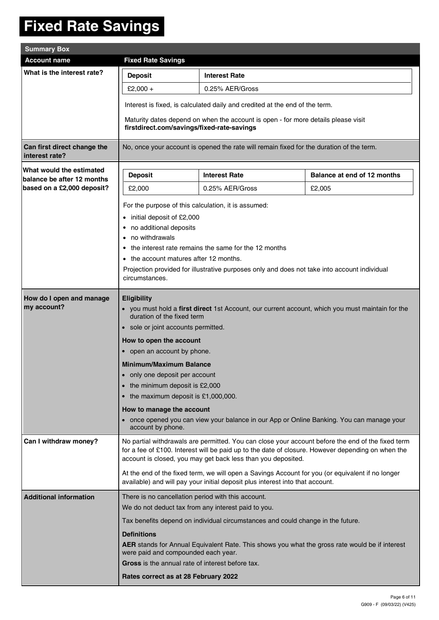### **Fixed Rate Savings**

| <b>Summary Box</b>                                     |                                                                                                                                                                                                                                                                                                                                                                                           |                                                                                                                                                                                                                                                                                                                                                                                                                                                                                                        |                                                                                                   |  |  |  |  |  |
|--------------------------------------------------------|-------------------------------------------------------------------------------------------------------------------------------------------------------------------------------------------------------------------------------------------------------------------------------------------------------------------------------------------------------------------------------------------|--------------------------------------------------------------------------------------------------------------------------------------------------------------------------------------------------------------------------------------------------------------------------------------------------------------------------------------------------------------------------------------------------------------------------------------------------------------------------------------------------------|---------------------------------------------------------------------------------------------------|--|--|--|--|--|
| <b>Account name</b>                                    | <b>Fixed Rate Savings</b>                                                                                                                                                                                                                                                                                                                                                                 |                                                                                                                                                                                                                                                                                                                                                                                                                                                                                                        |                                                                                                   |  |  |  |  |  |
| What is the interest rate?                             | <b>Deposit</b>                                                                                                                                                                                                                                                                                                                                                                            | <b>Interest Rate</b>                                                                                                                                                                                                                                                                                                                                                                                                                                                                                   |                                                                                                   |  |  |  |  |  |
|                                                        | £2,000 +                                                                                                                                                                                                                                                                                                                                                                                  | 0.25% AER/Gross                                                                                                                                                                                                                                                                                                                                                                                                                                                                                        |                                                                                                   |  |  |  |  |  |
|                                                        | Interest is fixed, is calculated daily and credited at the end of the term.                                                                                                                                                                                                                                                                                                               |                                                                                                                                                                                                                                                                                                                                                                                                                                                                                                        |                                                                                                   |  |  |  |  |  |
|                                                        | firstdirect.com/savings/fixed-rate-savings                                                                                                                                                                                                                                                                                                                                                | Maturity dates depend on when the account is open - for more details please visit                                                                                                                                                                                                                                                                                                                                                                                                                      |                                                                                                   |  |  |  |  |  |
| Can first direct change the<br>interest rate?          |                                                                                                                                                                                                                                                                                                                                                                                           | No, once your account is opened the rate will remain fixed for the duration of the term.                                                                                                                                                                                                                                                                                                                                                                                                               |                                                                                                   |  |  |  |  |  |
| What would the estimated<br>balance be after 12 months | <b>Deposit</b>                                                                                                                                                                                                                                                                                                                                                                            | <b>Interest Rate</b>                                                                                                                                                                                                                                                                                                                                                                                                                                                                                   | Balance at end of 12 months                                                                       |  |  |  |  |  |
| based on a £2,000 deposit?                             | £2,000                                                                                                                                                                                                                                                                                                                                                                                    | 0.25% AER/Gross                                                                                                                                                                                                                                                                                                                                                                                                                                                                                        | £2,005                                                                                            |  |  |  |  |  |
|                                                        | For the purpose of this calculation, it is assumed:<br>initial deposit of £2,000<br>$\bullet$<br>• no additional deposits<br>no withdrawals<br>$\bullet$<br>the interest rate remains the same for the 12 months<br>$\bullet$<br>• the account matures after 12 months.<br>Projection provided for illustrative purposes only and does not take into account individual<br>circumstances. |                                                                                                                                                                                                                                                                                                                                                                                                                                                                                                        |                                                                                                   |  |  |  |  |  |
| How do I open and manage<br>my account?                | <b>Eligibility</b><br>account by phone.                                                                                                                                                                                                                                                                                                                                                   | • you must hold a first direct 1st Account, our current account, which you must maintain for the<br>duration of the fixed term<br>• sole or joint accounts permitted.<br>How to open the account<br>• open an account by phone.<br><b>Minimum/Maximum Balance</b><br>only one deposit per account<br>• the minimum deposit is £2,000<br>• the maximum deposit is £1,000,000.<br>How to manage the account<br>• once opened you can view your balance in our App or Online Banking. You can manage your |                                                                                                   |  |  |  |  |  |
| Can I withdraw money?                                  |                                                                                                                                                                                                                                                                                                                                                                                           | for a fee of £100. Interest will be paid up to the date of closure. However depending on when the<br>account is closed, you may get back less than you deposited.<br>At the end of the fixed term, we will open a Savings Account for you (or equivalent if no longer                                                                                                                                                                                                                                  | No partial withdrawals are permitted. You can close your account before the end of the fixed term |  |  |  |  |  |
|                                                        |                                                                                                                                                                                                                                                                                                                                                                                           | available) and will pay your initial deposit plus interest into that account.                                                                                                                                                                                                                                                                                                                                                                                                                          |                                                                                                   |  |  |  |  |  |
| <b>Additional information</b>                          | There is no cancellation period with this account.                                                                                                                                                                                                                                                                                                                                        |                                                                                                                                                                                                                                                                                                                                                                                                                                                                                                        |                                                                                                   |  |  |  |  |  |
|                                                        |                                                                                                                                                                                                                                                                                                                                                                                           | We do not deduct tax from any interest paid to you.                                                                                                                                                                                                                                                                                                                                                                                                                                                    |                                                                                                   |  |  |  |  |  |
|                                                        |                                                                                                                                                                                                                                                                                                                                                                                           | Tax benefits depend on individual circumstances and could change in the future.                                                                                                                                                                                                                                                                                                                                                                                                                        |                                                                                                   |  |  |  |  |  |
|                                                        | <b>Definitions</b><br>were paid and compounded each year.                                                                                                                                                                                                                                                                                                                                 | AER stands for Annual Equivalent Rate. This shows you what the gross rate would be if interest                                                                                                                                                                                                                                                                                                                                                                                                         |                                                                                                   |  |  |  |  |  |
|                                                        | Gross is the annual rate of interest before tax.                                                                                                                                                                                                                                                                                                                                          |                                                                                                                                                                                                                                                                                                                                                                                                                                                                                                        |                                                                                                   |  |  |  |  |  |
|                                                        | Rates correct as at 28 February 2022                                                                                                                                                                                                                                                                                                                                                      |                                                                                                                                                                                                                                                                                                                                                                                                                                                                                                        |                                                                                                   |  |  |  |  |  |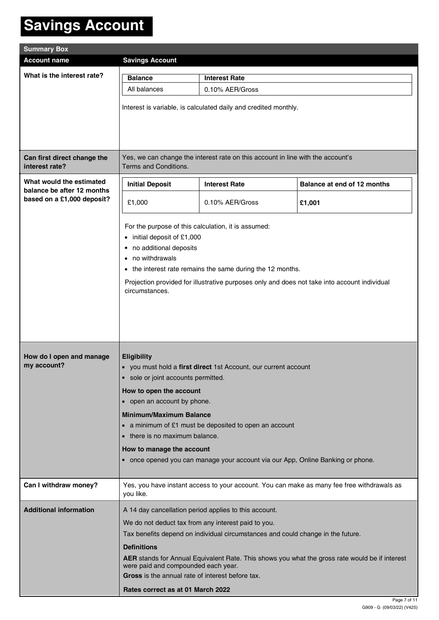## **Savings Account**

| <b>Summary Box</b>                                       |                                                                               |                                                                                              |                                                                                                |  |  |  |  |  |
|----------------------------------------------------------|-------------------------------------------------------------------------------|----------------------------------------------------------------------------------------------|------------------------------------------------------------------------------------------------|--|--|--|--|--|
| <b>Account name</b>                                      | <b>Savings Account</b>                                                        |                                                                                              |                                                                                                |  |  |  |  |  |
| What is the interest rate?                               | <b>Balance</b>                                                                | <b>Interest Rate</b>                                                                         |                                                                                                |  |  |  |  |  |
|                                                          | All balances                                                                  | 0.10% AER/Gross                                                                              |                                                                                                |  |  |  |  |  |
|                                                          |                                                                               |                                                                                              |                                                                                                |  |  |  |  |  |
|                                                          |                                                                               | Interest is variable, is calculated daily and credited monthly.                              |                                                                                                |  |  |  |  |  |
|                                                          |                                                                               |                                                                                              |                                                                                                |  |  |  |  |  |
|                                                          |                                                                               |                                                                                              |                                                                                                |  |  |  |  |  |
| Can first direct change the<br>interest rate?            | Terms and Conditions.                                                         | Yes, we can change the interest rate on this account in line with the account's              |                                                                                                |  |  |  |  |  |
| What would the estimated                                 | <b>Initial Deposit</b><br><b>Interest Rate</b><br>Balance at end of 12 months |                                                                                              |                                                                                                |  |  |  |  |  |
| balance be after 12 months<br>based on a £1,000 deposit? | £1,000                                                                        | 0.10% AER/Gross                                                                              | £1,001                                                                                         |  |  |  |  |  |
|                                                          |                                                                               |                                                                                              |                                                                                                |  |  |  |  |  |
|                                                          | For the purpose of this calculation, it is assumed:                           |                                                                                              |                                                                                                |  |  |  |  |  |
|                                                          | • initial deposit of £1,000<br>• no additional deposits                       |                                                                                              |                                                                                                |  |  |  |  |  |
|                                                          | • no withdrawals                                                              |                                                                                              |                                                                                                |  |  |  |  |  |
|                                                          |                                                                               | • the interest rate remains the same during the 12 months.                                   |                                                                                                |  |  |  |  |  |
|                                                          | circumstances.                                                                | Projection provided for illustrative purposes only and does not take into account individual |                                                                                                |  |  |  |  |  |
|                                                          |                                                                               |                                                                                              |                                                                                                |  |  |  |  |  |
|                                                          |                                                                               |                                                                                              |                                                                                                |  |  |  |  |  |
|                                                          |                                                                               |                                                                                              |                                                                                                |  |  |  |  |  |
|                                                          |                                                                               |                                                                                              |                                                                                                |  |  |  |  |  |
| How do I open and manage                                 | <b>Eligibility</b>                                                            |                                                                                              |                                                                                                |  |  |  |  |  |
| my account?                                              |                                                                               | • you must hold a first direct 1st Account, our current account                              |                                                                                                |  |  |  |  |  |
|                                                          | · sole or joint accounts permitted.                                           |                                                                                              |                                                                                                |  |  |  |  |  |
|                                                          | How to open the account                                                       |                                                                                              |                                                                                                |  |  |  |  |  |
|                                                          | • open an account by phone.<br><b>Minimum/Maximum Balance</b>                 |                                                                                              |                                                                                                |  |  |  |  |  |
|                                                          |                                                                               | • a minimum of £1 must be deposited to open an account                                       |                                                                                                |  |  |  |  |  |
|                                                          | • there is no maximum balance.                                                |                                                                                              |                                                                                                |  |  |  |  |  |
|                                                          | How to manage the account                                                     |                                                                                              |                                                                                                |  |  |  |  |  |
|                                                          |                                                                               | • once opened you can manage your account via our App, Online Banking or phone.              |                                                                                                |  |  |  |  |  |
|                                                          |                                                                               |                                                                                              |                                                                                                |  |  |  |  |  |
| Can I withdraw money?                                    | you like.                                                                     |                                                                                              | Yes, you have instant access to your account. You can make as many fee free withdrawals as     |  |  |  |  |  |
| <b>Additional information</b>                            |                                                                               | A 14 day cancellation period applies to this account.                                        |                                                                                                |  |  |  |  |  |
|                                                          |                                                                               | We do not deduct tax from any interest paid to you.                                          |                                                                                                |  |  |  |  |  |
|                                                          |                                                                               | Tax benefits depend on individual circumstances and could change in the future.              |                                                                                                |  |  |  |  |  |
|                                                          | <b>Definitions</b>                                                            |                                                                                              |                                                                                                |  |  |  |  |  |
|                                                          | were paid and compounded each year.                                           |                                                                                              | AER stands for Annual Equivalent Rate. This shows you what the gross rate would be if interest |  |  |  |  |  |
|                                                          | Gross is the annual rate of interest before tax.                              |                                                                                              |                                                                                                |  |  |  |  |  |
|                                                          | Rates correct as at 01 March 2022                                             |                                                                                              |                                                                                                |  |  |  |  |  |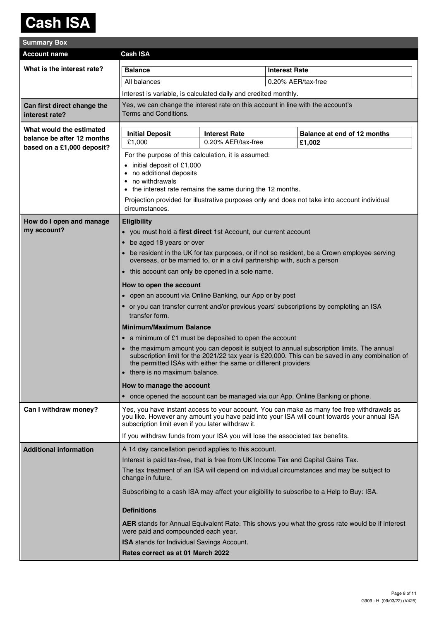### **Cash ISA**

| <b>Summary Box</b>                                                                   |                                                                                                                                                                                                                                                |                                                                                 |                                                                                                 |                             |  |  |  |
|--------------------------------------------------------------------------------------|------------------------------------------------------------------------------------------------------------------------------------------------------------------------------------------------------------------------------------------------|---------------------------------------------------------------------------------|-------------------------------------------------------------------------------------------------|-----------------------------|--|--|--|
| <b>Account name</b>                                                                  | <b>Cash ISA</b>                                                                                                                                                                                                                                |                                                                                 |                                                                                                 |                             |  |  |  |
| What is the interest rate?                                                           | <b>Balance</b>                                                                                                                                                                                                                                 |                                                                                 | <b>Interest Rate</b>                                                                            |                             |  |  |  |
|                                                                                      | All balances                                                                                                                                                                                                                                   |                                                                                 | 0.20% AER/tax-free                                                                              |                             |  |  |  |
|                                                                                      | Interest is variable, is calculated daily and credited monthly.                                                                                                                                                                                |                                                                                 |                                                                                                 |                             |  |  |  |
| Can first direct change the<br>interest rate?                                        | Terms and Conditions.                                                                                                                                                                                                                          | Yes, we can change the interest rate on this account in line with the account's |                                                                                                 |                             |  |  |  |
| What would the estimated<br>balance be after 12 months<br>based on a £1,000 deposit? | <b>Initial Deposit</b><br>£1,000                                                                                                                                                                                                               | <b>Interest Rate</b><br>0.20% AER/tax-free                                      | £1,002                                                                                          | Balance at end of 12 months |  |  |  |
|                                                                                      | For the purpose of this calculation, it is assumed:                                                                                                                                                                                            |                                                                                 |                                                                                                 |                             |  |  |  |
|                                                                                      | • initial deposit of £1,000<br>• no additional deposits<br>• no withdrawals<br>• the interest rate remains the same during the 12 months.                                                                                                      |                                                                                 |                                                                                                 |                             |  |  |  |
|                                                                                      | Projection provided for illustrative purposes only and does not take into account individual<br>circumstances.                                                                                                                                 |                                                                                 |                                                                                                 |                             |  |  |  |
| How do I open and manage                                                             | <b>Eligibility</b>                                                                                                                                                                                                                             |                                                                                 |                                                                                                 |                             |  |  |  |
| my account?                                                                          | • you must hold a first direct 1st Account, our current account                                                                                                                                                                                |                                                                                 |                                                                                                 |                             |  |  |  |
|                                                                                      | be aged 18 years or over<br>$\bullet$                                                                                                                                                                                                          |                                                                                 |                                                                                                 |                             |  |  |  |
|                                                                                      | • be resident in the UK for tax purposes, or if not so resident, be a Crown employee serving<br>overseas, or be married to, or in a civil partnership with, such a person                                                                      |                                                                                 |                                                                                                 |                             |  |  |  |
|                                                                                      | • this account can only be opened in a sole name.                                                                                                                                                                                              |                                                                                 |                                                                                                 |                             |  |  |  |
|                                                                                      | How to open the account                                                                                                                                                                                                                        |                                                                                 |                                                                                                 |                             |  |  |  |
|                                                                                      | • open an account via Online Banking, our App or by post                                                                                                                                                                                       |                                                                                 |                                                                                                 |                             |  |  |  |
|                                                                                      | • or you can transfer current and/or previous years' subscriptions by completing an ISA<br>transfer form.                                                                                                                                      |                                                                                 |                                                                                                 |                             |  |  |  |
|                                                                                      | <b>Minimum/Maximum Balance</b>                                                                                                                                                                                                                 |                                                                                 |                                                                                                 |                             |  |  |  |
|                                                                                      | • a minimum of £1 must be deposited to open the account                                                                                                                                                                                        |                                                                                 |                                                                                                 |                             |  |  |  |
|                                                                                      | • the maximum amount you can deposit is subject to annual subscription limits. The annual<br>• there is no maximum balance.                                                                                                                    | the permitted ISAs with either the same or different providers                  | subscription limit for the 2021/22 tax year is £20,000. This can be saved in any combination of |                             |  |  |  |
|                                                                                      | How to manage the account                                                                                                                                                                                                                      |                                                                                 |                                                                                                 |                             |  |  |  |
|                                                                                      | • once opened the account can be managed via our App, Online Banking or phone.                                                                                                                                                                 |                                                                                 |                                                                                                 |                             |  |  |  |
| Can I withdraw money?                                                                | Yes, you have instant access to your account. You can make as many fee free withdrawals as<br>you like. However any amount you have paid into your ISA will count towards your annual ISA<br>subscription limit even if you later withdraw it. |                                                                                 |                                                                                                 |                             |  |  |  |
|                                                                                      | If you withdraw funds from your ISA you will lose the associated tax benefits.                                                                                                                                                                 |                                                                                 |                                                                                                 |                             |  |  |  |
| <b>Additional information</b>                                                        | A 14 day cancellation period applies to this account.                                                                                                                                                                                          |                                                                                 |                                                                                                 |                             |  |  |  |
|                                                                                      | Interest is paid tax-free, that is free from UK Income Tax and Capital Gains Tax.                                                                                                                                                              |                                                                                 |                                                                                                 |                             |  |  |  |
|                                                                                      | The tax treatment of an ISA will depend on individual circumstances and may be subject to<br>change in future.                                                                                                                                 |                                                                                 |                                                                                                 |                             |  |  |  |
|                                                                                      | Subscribing to a cash ISA may affect your eligibility to subscribe to a Help to Buy: ISA.                                                                                                                                                      |                                                                                 |                                                                                                 |                             |  |  |  |
|                                                                                      | <b>Definitions</b>                                                                                                                                                                                                                             |                                                                                 |                                                                                                 |                             |  |  |  |
|                                                                                      | <b>AER</b> stands for Annual Equivalent Rate. This shows you what the gross rate would be if interest<br>were paid and compounded each year.                                                                                                   |                                                                                 |                                                                                                 |                             |  |  |  |
|                                                                                      | <b>ISA</b> stands for Individual Savings Account.                                                                                                                                                                                              |                                                                                 |                                                                                                 |                             |  |  |  |
|                                                                                      | Rates correct as at 01 March 2022                                                                                                                                                                                                              |                                                                                 |                                                                                                 |                             |  |  |  |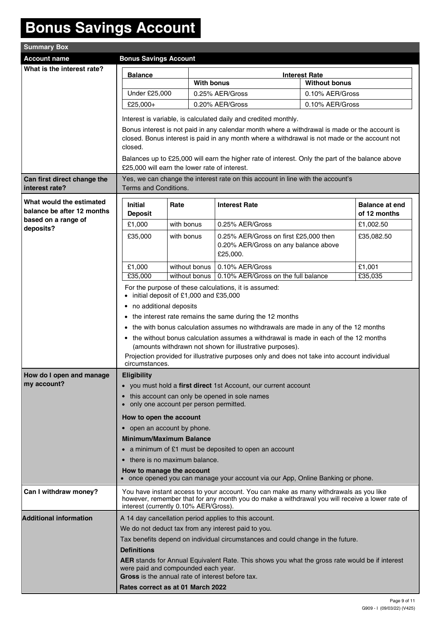## **Bonus Savings Account**

| <b>Summary Box</b>                                  |                                                                                                  |            |                   |                                                                                                                                                   |                      |                       |  |
|-----------------------------------------------------|--------------------------------------------------------------------------------------------------|------------|-------------------|---------------------------------------------------------------------------------------------------------------------------------------------------|----------------------|-----------------------|--|
| <b>Account name</b><br><b>Bonus Savings Account</b> |                                                                                                  |            |                   |                                                                                                                                                   |                      |                       |  |
| What is the interest rate?                          | <b>Interest Rate</b>                                                                             |            |                   |                                                                                                                                                   |                      |                       |  |
|                                                     | <b>Balance</b>                                                                                   |            | <b>With bonus</b> |                                                                                                                                                   | <b>Without bonus</b> |                       |  |
|                                                     | Under £25,000                                                                                    |            |                   | 0.25% AER/Gross                                                                                                                                   | 0.10% AER/Gross      |                       |  |
|                                                     | £25,000+                                                                                         |            |                   | 0.20% AER/Gross                                                                                                                                   | 0.10% AER/Gross      |                       |  |
|                                                     |                                                                                                  |            |                   |                                                                                                                                                   |                      |                       |  |
|                                                     |                                                                                                  |            |                   | Interest is variable, is calculated daily and credited monthly.                                                                                   |                      |                       |  |
|                                                     |                                                                                                  |            |                   | Bonus interest is not paid in any calendar month where a withdrawal is made or the account is                                                     |                      |                       |  |
|                                                     |                                                                                                  |            |                   | closed. Bonus interest is paid in any month where a withdrawal is not made or the account not                                                     |                      |                       |  |
|                                                     | closed.                                                                                          |            |                   |                                                                                                                                                   |                      |                       |  |
|                                                     | £25,000 will earn the lower rate of interest.                                                    |            |                   | Balances up to £25,000 will earn the higher rate of interest. Only the part of the balance above                                                  |                      |                       |  |
|                                                     |                                                                                                  |            |                   |                                                                                                                                                   |                      |                       |  |
| Can first direct change the<br>interest rate?       | Terms and Conditions.                                                                            |            |                   | Yes, we can change the interest rate on this account in line with the account's                                                                   |                      |                       |  |
| What would the estimated                            | <b>Initial</b>                                                                                   | Rate       |                   | <b>Interest Rate</b>                                                                                                                              |                      | <b>Balance at end</b> |  |
| balance be after 12 months                          | <b>Deposit</b>                                                                                   |            |                   |                                                                                                                                                   |                      | of 12 months          |  |
| based on a range of<br>deposits?                    | £1,000                                                                                           | with bonus |                   | 0.25% AER/Gross                                                                                                                                   |                      | £1,002.50             |  |
|                                                     | £35,000                                                                                          | with bonus |                   | 0.25% AER/Gross on first £25,000 then                                                                                                             |                      | £35,082.50            |  |
|                                                     |                                                                                                  |            |                   | 0.20% AER/Gross on any balance above                                                                                                              |                      |                       |  |
|                                                     |                                                                                                  |            |                   | £25,000.                                                                                                                                          |                      |                       |  |
|                                                     | £1,000                                                                                           |            | without bonus     | 0.10% AER/Gross                                                                                                                                   |                      | £1,001                |  |
|                                                     | £35,000                                                                                          |            | without bonus     | 0.10% AER/Gross on the full balance                                                                                                               |                      | £35,035               |  |
|                                                     | For the purpose of these calculations, it is assumed:<br>• initial deposit of £1,000 and £35,000 |            |                   |                                                                                                                                                   |                      |                       |  |
|                                                     |                                                                                                  |            |                   |                                                                                                                                                   |                      |                       |  |
|                                                     | • no additional deposits                                                                         |            |                   |                                                                                                                                                   |                      |                       |  |
|                                                     |                                                                                                  |            |                   | • the interest rate remains the same during the 12 months<br>• the with bonus calculation assumes no withdrawals are made in any of the 12 months |                      |                       |  |
|                                                     |                                                                                                  |            |                   | • the without bonus calculation assumes a withdrawal is made in each of the 12 months                                                             |                      |                       |  |
|                                                     |                                                                                                  |            |                   | (amounts withdrawn not shown for illustrative purposes).                                                                                          |                      |                       |  |
|                                                     |                                                                                                  |            |                   | Projection provided for illustrative purposes only and does not take into account individual                                                      |                      |                       |  |
|                                                     | circumstances.                                                                                   |            |                   |                                                                                                                                                   |                      |                       |  |
| How do I open and manage                            | <b>Eligibility</b>                                                                               |            |                   |                                                                                                                                                   |                      |                       |  |
| my account?                                         |                                                                                                  |            |                   | • you must hold a first direct 1st Account, our current account                                                                                   |                      |                       |  |
|                                                     | $\bullet$<br>only one account per person permitted.                                              |            |                   | this account can only be opened in sole names                                                                                                     |                      |                       |  |
|                                                     | How to open the account                                                                          |            |                   |                                                                                                                                                   |                      |                       |  |
|                                                     | • open an account by phone.                                                                      |            |                   |                                                                                                                                                   |                      |                       |  |
|                                                     | <b>Minimum/Maximum Balance</b>                                                                   |            |                   |                                                                                                                                                   |                      |                       |  |
|                                                     |                                                                                                  |            |                   | • a minimum of £1 must be deposited to open an account                                                                                            |                      |                       |  |
|                                                     | • there is no maximum balance.                                                                   |            |                   |                                                                                                                                                   |                      |                       |  |
|                                                     | How to manage the account                                                                        |            |                   |                                                                                                                                                   |                      |                       |  |
|                                                     |                                                                                                  |            |                   | • once opened you can manage your account via our App, Online Banking or phone.                                                                   |                      |                       |  |
| Can I withdraw money?                               |                                                                                                  |            |                   | You have instant access to your account. You can make as many withdrawals as you like                                                             |                      |                       |  |
|                                                     | interest (currently 0.10% AER/Gross).                                                            |            |                   | however, remember that for any month you do make a withdrawal you will receive a lower rate of                                                    |                      |                       |  |
| <b>Additional information</b>                       |                                                                                                  |            |                   | A 14 day cancellation period applies to this account.                                                                                             |                      |                       |  |
|                                                     |                                                                                                  |            |                   | We do not deduct tax from any interest paid to you.                                                                                               |                      |                       |  |
|                                                     |                                                                                                  |            |                   | Tax benefits depend on individual circumstances and could change in the future.                                                                   |                      |                       |  |
|                                                     | <b>Definitions</b>                                                                               |            |                   |                                                                                                                                                   |                      |                       |  |
|                                                     |                                                                                                  |            |                   | AER stands for Annual Equivalent Rate. This shows you what the gross rate would be if interest                                                    |                      |                       |  |
|                                                     | were paid and compounded each year.                                                              |            |                   |                                                                                                                                                   |                      |                       |  |
|                                                     | Gross is the annual rate of interest before tax.                                                 |            |                   |                                                                                                                                                   |                      |                       |  |
|                                                     | Rates correct as at 01 March 2022                                                                |            |                   |                                                                                                                                                   |                      |                       |  |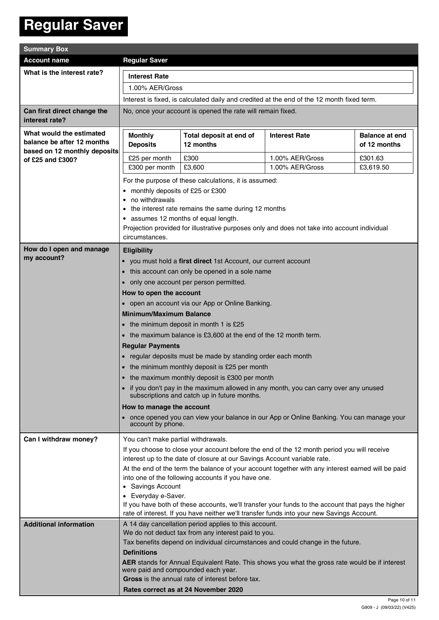### **Regular Saver**

| <b>Summary Box</b>                                                                                         |                                                                                                                                                                                                                                                                                                                    |                                                                                                                                       |                                    |                                       |  |
|------------------------------------------------------------------------------------------------------------|--------------------------------------------------------------------------------------------------------------------------------------------------------------------------------------------------------------------------------------------------------------------------------------------------------------------|---------------------------------------------------------------------------------------------------------------------------------------|------------------------------------|---------------------------------------|--|
| <b>Account name</b>                                                                                        | <b>Regular Saver</b>                                                                                                                                                                                                                                                                                               |                                                                                                                                       |                                    |                                       |  |
| What is the interest rate?                                                                                 | <b>Interest Rate</b><br>1.00% AER/Gross<br>Interest is fixed, is calculated daily and credited at the end of the 12 month fixed term.                                                                                                                                                                              |                                                                                                                                       |                                    |                                       |  |
|                                                                                                            |                                                                                                                                                                                                                                                                                                                    |                                                                                                                                       |                                    |                                       |  |
|                                                                                                            |                                                                                                                                                                                                                                                                                                                    |                                                                                                                                       |                                    |                                       |  |
| Can first direct change the                                                                                | No, once your account is opened the rate will remain fixed.                                                                                                                                                                                                                                                        |                                                                                                                                       |                                    |                                       |  |
| interest rate?                                                                                             |                                                                                                                                                                                                                                                                                                                    |                                                                                                                                       |                                    |                                       |  |
| What would the estimated<br>balance be after 12 months<br>based on 12 monthly deposits<br>of £25 and £300? | <b>Monthly</b><br><b>Deposits</b>                                                                                                                                                                                                                                                                                  | Total deposit at end of<br>12 months                                                                                                  | <b>Interest Rate</b>               | <b>Balance at end</b><br>of 12 months |  |
|                                                                                                            |                                                                                                                                                                                                                                                                                                                    |                                                                                                                                       |                                    |                                       |  |
|                                                                                                            | £25 per month                                                                                                                                                                                                                                                                                                      | £300                                                                                                                                  | 1.00% AER/Gross<br>1.00% AER/Gross | £301.63                               |  |
|                                                                                                            | £3,600<br>£3,619.50<br>£300 per month                                                                                                                                                                                                                                                                              |                                                                                                                                       |                                    |                                       |  |
|                                                                                                            | For the purpose of these calculations, it is assumed:                                                                                                                                                                                                                                                              |                                                                                                                                       |                                    |                                       |  |
|                                                                                                            | monthly deposits of £25 or £300<br>no withdrawals                                                                                                                                                                                                                                                                  |                                                                                                                                       |                                    |                                       |  |
|                                                                                                            | the interest rate remains the same during 12 months<br>• assumes 12 months of equal length.<br>Projection provided for illustrative purposes only and does not take into account individual<br>circumstances.                                                                                                      |                                                                                                                                       |                                    |                                       |  |
|                                                                                                            |                                                                                                                                                                                                                                                                                                                    |                                                                                                                                       |                                    |                                       |  |
|                                                                                                            |                                                                                                                                                                                                                                                                                                                    |                                                                                                                                       |                                    |                                       |  |
|                                                                                                            |                                                                                                                                                                                                                                                                                                                    |                                                                                                                                       |                                    |                                       |  |
| How do I open and manage                                                                                   | <b>Eligibility</b>                                                                                                                                                                                                                                                                                                 |                                                                                                                                       |                                    |                                       |  |
| my account?                                                                                                | • you must hold a first direct 1st Account, our current account                                                                                                                                                                                                                                                    |                                                                                                                                       |                                    |                                       |  |
|                                                                                                            | • this account can only be opened in a sole name<br>• only one account per person permitted.                                                                                                                                                                                                                       |                                                                                                                                       |                                    |                                       |  |
|                                                                                                            |                                                                                                                                                                                                                                                                                                                    |                                                                                                                                       |                                    |                                       |  |
|                                                                                                            | How to open the account                                                                                                                                                                                                                                                                                            |                                                                                                                                       |                                    |                                       |  |
|                                                                                                            | • open an account via our App or Online Banking.                                                                                                                                                                                                                                                                   |                                                                                                                                       |                                    |                                       |  |
|                                                                                                            | <b>Minimum/Maximum Balance</b>                                                                                                                                                                                                                                                                                     |                                                                                                                                       |                                    |                                       |  |
|                                                                                                            | • the minimum deposit in month 1 is £25                                                                                                                                                                                                                                                                            |                                                                                                                                       |                                    |                                       |  |
|                                                                                                            | • the maximum balance is £3,600 at the end of the 12 month term.                                                                                                                                                                                                                                                   |                                                                                                                                       |                                    |                                       |  |
|                                                                                                            | <b>Regular Payments</b>                                                                                                                                                                                                                                                                                            |                                                                                                                                       |                                    |                                       |  |
|                                                                                                            | • regular deposits must be made by standing order each month                                                                                                                                                                                                                                                       |                                                                                                                                       |                                    |                                       |  |
|                                                                                                            | • the minimum monthly deposit is £25 per month                                                                                                                                                                                                                                                                     |                                                                                                                                       |                                    |                                       |  |
|                                                                                                            | • the maximum monthly deposit is £300 per month                                                                                                                                                                                                                                                                    |                                                                                                                                       |                                    |                                       |  |
|                                                                                                            | • if you don't pay in the maximum allowed in any month, you can carry over any unused<br>subscriptions and catch up in future months.<br>How to manage the account                                                                                                                                                 |                                                                                                                                       |                                    |                                       |  |
|                                                                                                            |                                                                                                                                                                                                                                                                                                                    |                                                                                                                                       |                                    |                                       |  |
|                                                                                                            | • once opened you can view your balance in our App or Online Banking. You can manage your<br>account by phone.                                                                                                                                                                                                     |                                                                                                                                       |                                    |                                       |  |
| Can I withdraw money?                                                                                      |                                                                                                                                                                                                                                                                                                                    |                                                                                                                                       |                                    |                                       |  |
|                                                                                                            | You can't make partial withdrawals.<br>If you choose to close your account before the end of the 12 month period you will receive<br>interest up to the date of closure at our Savings Account variable rate.<br>At the end of the term the balance of your account together with any interest earned will be paid |                                                                                                                                       |                                    |                                       |  |
|                                                                                                            |                                                                                                                                                                                                                                                                                                                    |                                                                                                                                       |                                    |                                       |  |
|                                                                                                            |                                                                                                                                                                                                                                                                                                                    |                                                                                                                                       |                                    |                                       |  |
|                                                                                                            | into one of the following accounts if you have one.                                                                                                                                                                                                                                                                |                                                                                                                                       |                                    |                                       |  |
|                                                                                                            | • Savings Account                                                                                                                                                                                                                                                                                                  |                                                                                                                                       |                                    |                                       |  |
|                                                                                                            | • Everyday e-Saver.                                                                                                                                                                                                                                                                                                |                                                                                                                                       |                                    |                                       |  |
|                                                                                                            | If you have both of these accounts, we'll transfer your funds to the account that pays the higher<br>rate of interest. If you have neither we'll transfer funds into your new Savings Account.                                                                                                                     |                                                                                                                                       |                                    |                                       |  |
| <b>Additional information</b>                                                                              |                                                                                                                                                                                                                                                                                                                    | A 14 day cancellation period applies to this account.                                                                                 |                                    |                                       |  |
|                                                                                                            | We do not deduct tax from any interest paid to you.                                                                                                                                                                                                                                                                |                                                                                                                                       |                                    |                                       |  |
|                                                                                                            | Tax benefits depend on individual circumstances and could change in the future.                                                                                                                                                                                                                                    |                                                                                                                                       |                                    |                                       |  |
|                                                                                                            | <b>Definitions</b>                                                                                                                                                                                                                                                                                                 |                                                                                                                                       |                                    |                                       |  |
|                                                                                                            |                                                                                                                                                                                                                                                                                                                    | AER stands for Annual Equivalent Rate. This shows you what the gross rate would be if interest<br>were paid and compounded each year. |                                    |                                       |  |
|                                                                                                            | Gross is the annual rate of interest before tax.<br>Rates correct as at 24 November 2020                                                                                                                                                                                                                           |                                                                                                                                       |                                    |                                       |  |
|                                                                                                            |                                                                                                                                                                                                                                                                                                                    |                                                                                                                                       |                                    |                                       |  |